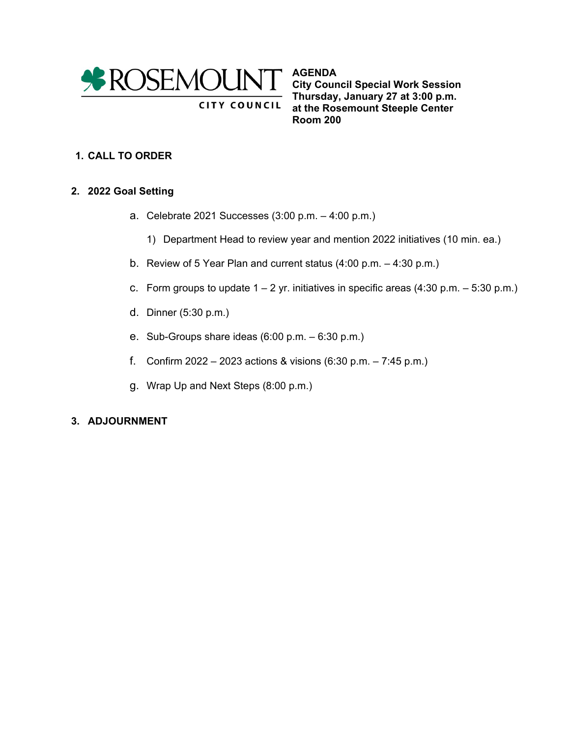

**AGENDA City Council Special Work Session Thursday, January 27 at 3:00 p.m. at the Rosemount Steeple Center Room 200**

## **1. CALL TO ORDER**

### **2. 2022 Goal Setting**

a. Celebrate 2021 Successes (3:00 p.m. – 4:00 p.m.)

**CITY COUNCIL** 

- 1) Department Head to review year and mention 2022 initiatives (10 min. ea.)
- b. Review of 5 Year Plan and current status (4:00 p.m. 4:30 p.m.)
- c. Form groups to update  $1 2$  yr. initiatives in specific areas (4:30 p.m.  $-5:30$  p.m.)
- d. Dinner (5:30 p.m.)
- e. Sub-Groups share ideas (6:00 p.m. 6:30 p.m.)
- f. Confirm 2022 2023 actions & visions (6:30 p.m. 7:45 p.m.)
- g. Wrap Up and Next Steps (8:00 p.m.)

### **3. ADJOURNMENT**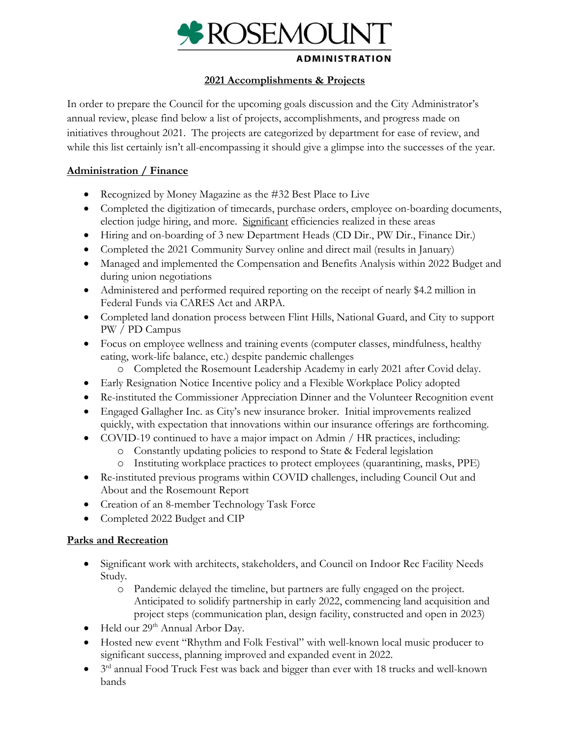

#### **ADMINISTRATION**

### **2021 Accomplishments & Projects**

In order to prepare the Council for the upcoming goals discussion and the City Administrator's annual review, please find below a list of projects, accomplishments, and progress made on initiatives throughout 2021. The projects are categorized by department for ease of review, and while this list certainly isn't all-encompassing it should give a glimpse into the successes of the year.

## **Administration / Finance**

- Recognized by Money Magazine as the #32 Best Place to Live
- Completed the digitization of timecards, purchase orders, employee on-boarding documents, election judge hiring, and more. Significant efficiencies realized in these areas
- Hiring and on-boarding of 3 new Department Heads (CD Dir., PW Dir., Finance Dir.)
- Completed the 2021 Community Survey online and direct mail (results in January)
- Managed and implemented the Compensation and Benefits Analysis within 2022 Budget and during union negotiations
- Administered and performed required reporting on the receipt of nearly \$4.2 million in Federal Funds via CARES Act and ARPA.
- Completed land donation process between Flint Hills, National Guard, and City to support PW / PD Campus
- Focus on employee wellness and training events (computer classes, mindfulness, healthy eating, work-life balance, etc.) despite pandemic challenges
	- o Completed the Rosemount Leadership Academy in early 2021 after Covid delay.
- Early Resignation Notice Incentive policy and a Flexible Workplace Policy adopted
- Re-instituted the Commissioner Appreciation Dinner and the Volunteer Recognition event
- Engaged Gallagher Inc. as City's new insurance broker. Initial improvements realized quickly, with expectation that innovations within our insurance offerings are forthcoming.
- COVID-19 continued to have a major impact on Admin / HR practices, including:
	- o Constantly updating policies to respond to State & Federal legislation
	- o Instituting workplace practices to protect employees (quarantining, masks, PPE)
- Re-instituted previous programs within COVID challenges, including Council Out and About and the Rosemount Report
- Creation of an 8-member Technology Task Force
- Completed 2022 Budget and CIP

## **Parks and Recreation**

- Significant work with architects, stakeholders, and Council on Indoor Rec Facility Needs Study.
	- o Pandemic delayed the timeline, but partners are fully engaged on the project. Anticipated to solidify partnership in early 2022, commencing land acquisition and project steps (communication plan, design facility, constructed and open in 2023)
- Held our 29<sup>th</sup> Annual Arbor Day.
- Hosted new event "Rhythm and Folk Festival" with well-known local music producer to significant success, planning improved and expanded event in 2022.
- 3<sup>rd</sup> annual Food Truck Fest was back and bigger than ever with 18 trucks and well-known bands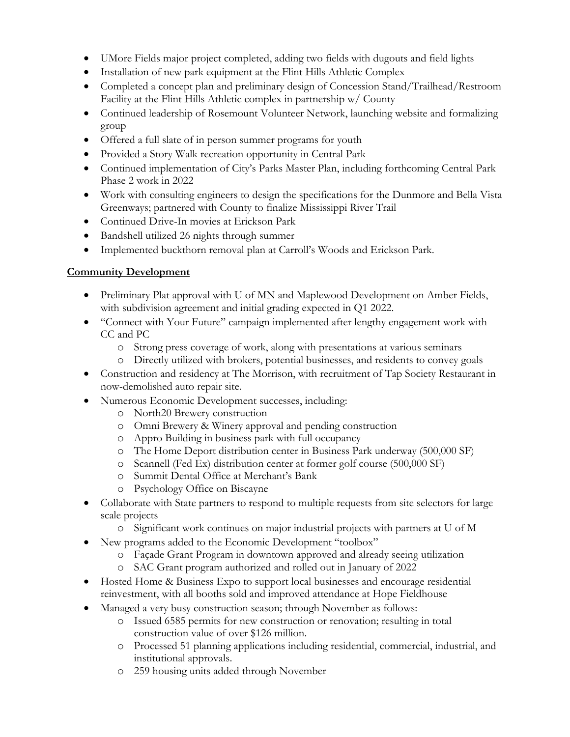- UMore Fields major project completed, adding two fields with dugouts and field lights
- Installation of new park equipment at the Flint Hills Athletic Complex
- Completed a concept plan and preliminary design of Concession Stand/Trailhead/Restroom Facility at the Flint Hills Athletic complex in partnership w/ County
- Continued leadership of Rosemount Volunteer Network, launching website and formalizing group
- Offered a full slate of in person summer programs for youth
- Provided a Story Walk recreation opportunity in Central Park
- Continued implementation of City's Parks Master Plan, including forthcoming Central Park Phase 2 work in 2022
- Work with consulting engineers to design the specifications for the Dunmore and Bella Vista Greenways; partnered with County to finalize Mississippi River Trail
- Continued Drive-In movies at Erickson Park
- Bandshell utilized 26 nights through summer
- Implemented buckthorn removal plan at Carroll's Woods and Erickson Park.

## **Community Development**

- Preliminary Plat approval with U of MN and Maplewood Development on Amber Fields, with subdivision agreement and initial grading expected in Q1 2022.
- "Connect with Your Future" campaign implemented after lengthy engagement work with CC and PC
	- o Strong press coverage of work, along with presentations at various seminars
	- o Directly utilized with brokers, potential businesses, and residents to convey goals
- Construction and residency at The Morrison, with recruitment of Tap Society Restaurant in now-demolished auto repair site.
- Numerous Economic Development successes, including:
	- o North20 Brewery construction
	- o Omni Brewery & Winery approval and pending construction
	- o Appro Building in business park with full occupancy
	- o The Home Deport distribution center in Business Park underway (500,000 SF)
	- o Scannell (Fed Ex) distribution center at former golf course (500,000 SF)
	- o Summit Dental Office at Merchant's Bank
	- o Psychology Office on Biscayne
- Collaborate with State partners to respond to multiple requests from site selectors for large scale projects
	- o Significant work continues on major industrial projects with partners at U of M
- New programs added to the Economic Development "toolbox"
	- o Façade Grant Program in downtown approved and already seeing utilization
	- o SAC Grant program authorized and rolled out in January of 2022
- Hosted Home & Business Expo to support local businesses and encourage residential reinvestment, with all booths sold and improved attendance at Hope Fieldhouse
- Managed a very busy construction season; through November as follows:
	- o Issued 6585 permits for new construction or renovation; resulting in total construction value of over \$126 million.
	- o Processed 51 planning applications including residential, commercial, industrial, and institutional approvals.
	- o 259 housing units added through November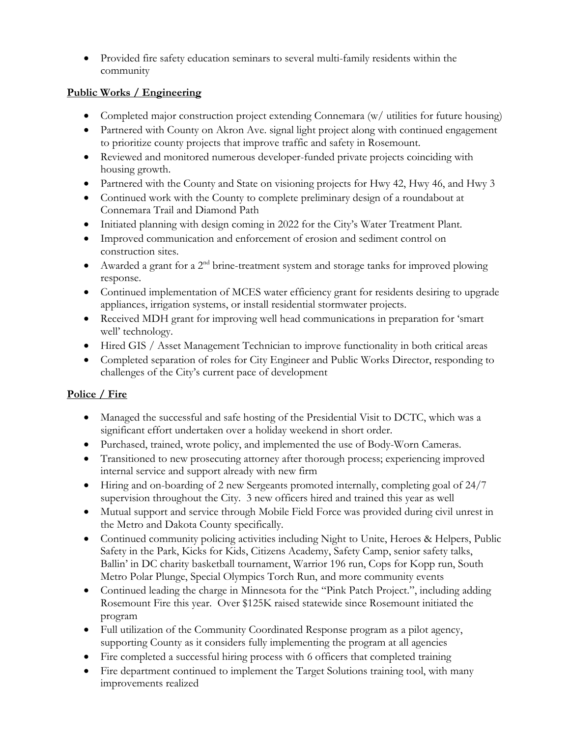• Provided fire safety education seminars to several multi-family residents within the community

## **Public Works / Engineering**

- Completed major construction project extending Connemara (w/ utilities for future housing)
- Partnered with County on Akron Ave. signal light project along with continued engagement to prioritize county projects that improve traffic and safety in Rosemount.
- Reviewed and monitored numerous developer-funded private projects coinciding with housing growth.
- Partnered with the County and State on visioning projects for Hwy 42, Hwy 46, and Hwy 3
- Continued work with the County to complete preliminary design of a roundabout at Connemara Trail and Diamond Path
- Initiated planning with design coming in 2022 for the City's Water Treatment Plant.
- Improved communication and enforcement of erosion and sediment control on construction sites.
- Awarded a grant for a  $2<sup>nd</sup>$  brine-treatment system and storage tanks for improved plowing response.
- Continued implementation of MCES water efficiency grant for residents desiring to upgrade appliances, irrigation systems, or install residential stormwater projects.
- Received MDH grant for improving well head communications in preparation for 'smart' well' technology.
- Hired GIS / Asset Management Technician to improve functionality in both critical areas
- Completed separation of roles for City Engineer and Public Works Director, responding to challenges of the City's current pace of development

## **Police / Fire**

- Managed the successful and safe hosting of the Presidential Visit to DCTC, which was a significant effort undertaken over a holiday weekend in short order.
- Purchased, trained, wrote policy, and implemented the use of Body-Worn Cameras.
- Transitioned to new prosecuting attorney after thorough process; experiencing improved internal service and support already with new firm
- Hiring and on-boarding of 2 new Sergeants promoted internally, completing goal of 24/7 supervision throughout the City. 3 new officers hired and trained this year as well
- Mutual support and service through Mobile Field Force was provided during civil unrest in the Metro and Dakota County specifically.
- Continued community policing activities including Night to Unite, Heroes & Helpers, Public Safety in the Park, Kicks for Kids, Citizens Academy, Safety Camp, senior safety talks, Ballin' in DC charity basketball tournament, Warrior 196 run, Cops for Kopp run, South Metro Polar Plunge, Special Olympics Torch Run, and more community events
- Continued leading the charge in Minnesota for the "Pink Patch Project.", including adding Rosemount Fire this year. Over \$125K raised statewide since Rosemount initiated the program
- Full utilization of the Community Coordinated Response program as a pilot agency, supporting County as it considers fully implementing the program at all agencies
- Fire completed a successful hiring process with 6 officers that completed training
- Fire department continued to implement the Target Solutions training tool, with many improvements realized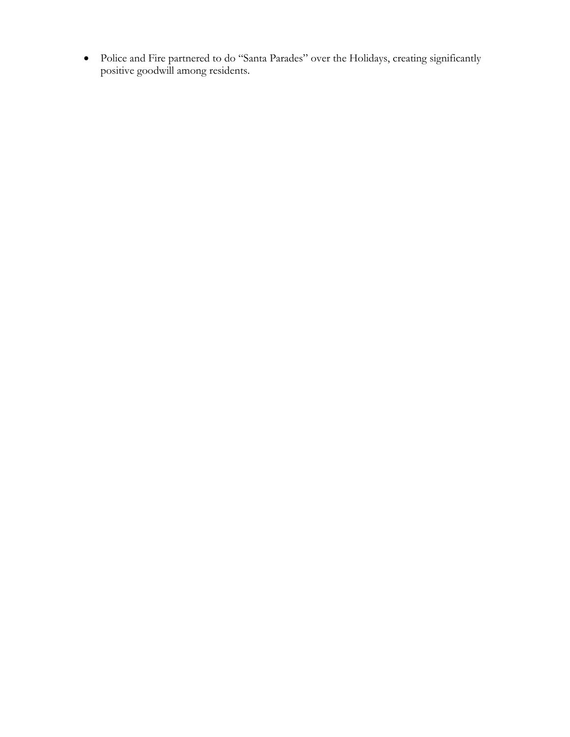• Police and Fire partnered to do "Santa Parades" over the Holidays, creating significantly positive goodwill among residents.